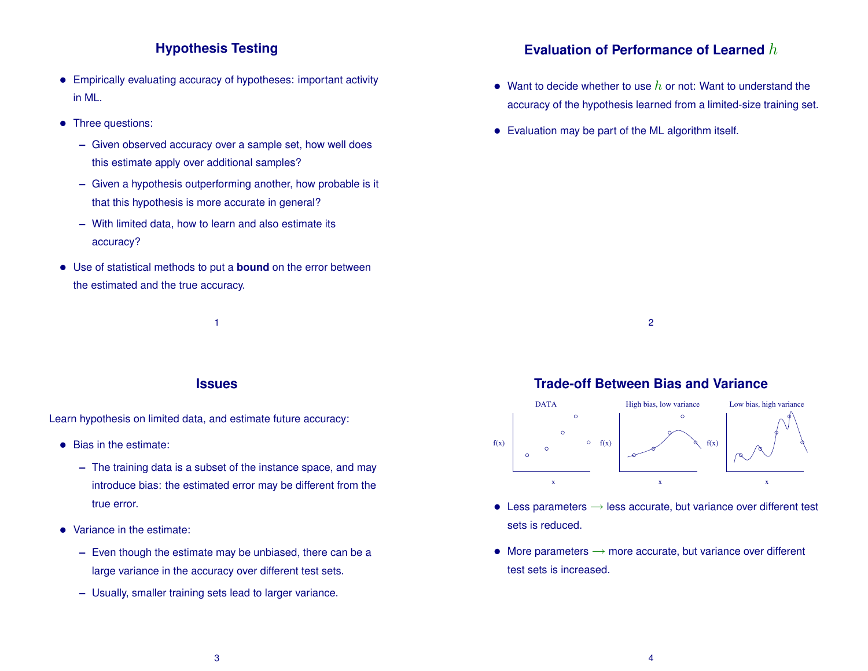# **Hypothesis Testing**

- Empirically evaluating accuracy of hypotheses: important activity in ML.
- Three questions:
	- **–** Given observed accuracy over a sample set, how well does this estimate apply over additional samples?
	- **–** Given a hypothesis outperforming another, how probable is it that this hypothesis is more accurate in general?
	- **–** With limited data, how to learn and also estimate its accuracy?
- Use of statistical methods to put a **bound** on the error between the estimated and the true accuracy.

1

#### **Issues**

Learn hypothesis on limited data, and estimate future accuracy:

- Bias in the estimate:
	- **–** The training data is a subset of the instance space, and may introduce bias: the estimated error may be different from the true error.
- Variance in the estimate:
	- **–** Even though the estimate may be unbiased, there can be a large variance in the accuracy over different test sets.
	- **–** Usually, smaller training sets lead to larger variance.

## **Evaluation of Performance of Learned** h

- Want to decide whether to use  $h$  or not: Want to understand the accuracy of the hypothesis learned from a limited-size training set.
- Evaluation may be part of the ML algorithm itself.

2

### **Trade-off Between Bias and Variance**



- Less parameters  $\rightarrow$  less accurate, but variance over different test sets is reduced.
- More parameters  $\rightarrow$  more accurate, but variance over different test sets is increased.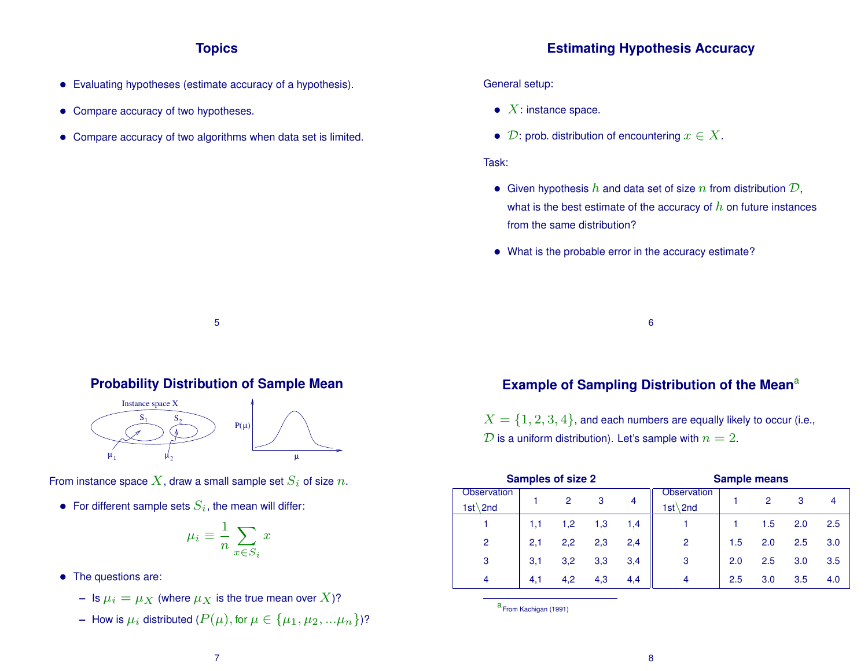# **Topics**

- Evaluating hypotheses (estimate accuracy of a hypothesis).
- Compare accuracy of two hypotheses.
- Compare accuracy of two algorithms when data set is limited.

### **Estimating Hypothesis Accuracy**

#### General setup:

- $X$ : instance space.
- $\mathcal{D}$ : prob. distribution of encountering  $x \in X$ .

#### Task:

- Given hypothesis  $h$  and data set of size  $n$  from distribution  $\mathcal{D}$ , what is the best estimate of the accuracy of  $h$  on future instances from the same distribution?
- What is the probable error in the accuracy estimate?

6

#### **Probability Distribution of Sample Mean**

5



From instance space X, draw a small sample set  $S_i$  of size n.

• For different sample sets  $S_i$ , the mean will differ:

$$
\mu_i \equiv \frac{1}{n} \sum_{x \in S_i} x
$$

- The questions are:
	- **–** Is  $\mu_i = \mu_X$  (where  $\mu_X$  is the true mean over X)?
	- **–** How is  $\mu_i$  distributed  $(P(\mu), \text{for } \mu \in {\{\mu_1, \mu_2, ...\mu_n\}}$ ?

# **Example of Sampling Distribution of the Mean<sup>a</sup>**

 $X = \{1, 2, 3, 4\}$ , and each numbers are equally likely to occur (i.e.,  $\overline{\mathcal{D}}$  is a uniform distribution). Let's sample with  $n=2$ .

| <b>Samples of size 2</b> |     |     |     |     | <b>Sample means</b> |     |     |     |     |  |
|--------------------------|-----|-----|-----|-----|---------------------|-----|-----|-----|-----|--|
| <b>Observation</b>       |     | 2   | 3   | 4   | <b>Observation</b>  |     | 2   | 3   |     |  |
| $1st \text{2nd}$         |     |     |     |     | $1st \setminus 2nd$ |     |     |     |     |  |
|                          | 1,1 | 1,2 | 1,3 | 1,4 |                     |     | 1.5 | 2.0 | 2.5 |  |
| $\overline{2}$           | 2,1 | 2,2 | 2,3 | 2,4 | $\overline{2}$      | 1.5 | 2.0 | 2.5 | 3.0 |  |
| 3                        | 3,1 | 3,2 | 3,3 | 3,4 | 3                   | 2.0 | 2.5 | 3.0 | 3.5 |  |
| 4                        | 4,1 | 4,2 | 4,3 | 4,4 | $\overline{4}$      | 2.5 | 3.0 | 3.5 | 4.0 |  |

a From Kachigan (1991)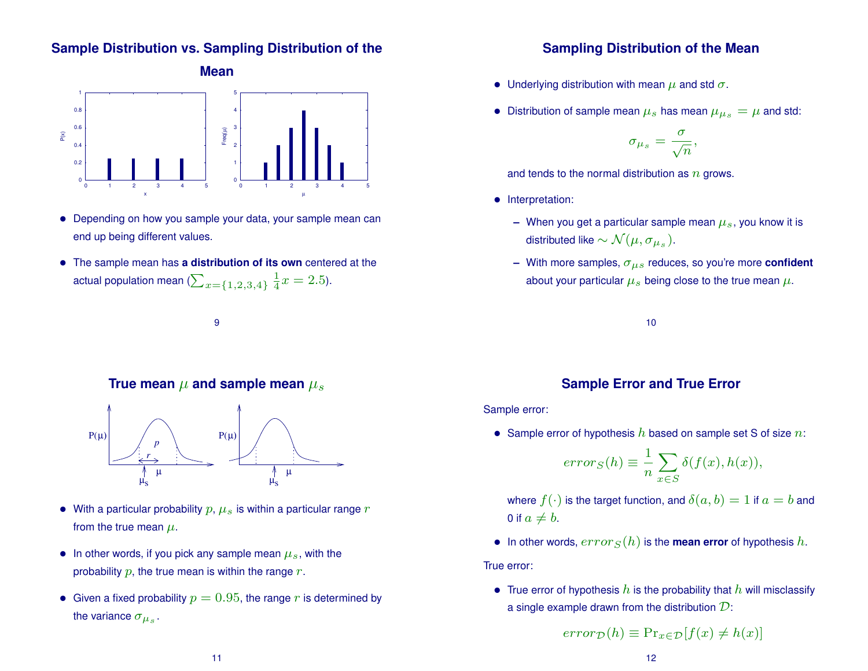### **Sample Distribution vs. Sampling Distribution of the**



- Depending on how you sample your data, your sample mean can end up being different values.
- The sample mean has **a distribution of its own** centered at the actual population mean ( $\sum_{x=\{1,2,3,4\}}$  $\overline{1}$  $\frac{1}{4}x = 2.5$ ).

9

#### **True mean**  $\mu$  and sample mean  $\mu_s$



- With a particular probability  $p, \mu_s$  is within a particular range  $r$ from the true mean  $\mu$ .
- In other words, if you pick any sample mean  $\mu_s$ , with the probability  $p$ , the true mean is within the range  $r$ .
- Given a fixed probability  $p = 0.95$ , the range r is determined by the variance  $\sigma_{\mu_s}$ .

#### **Sampling Distribution of the Mean**

- Underlying distribution with mean  $\mu$  and std  $\sigma$ .
- $\bullet\;$  Distribution of sample mean  $\mu_s$  has mean  $\mu_{\mu_s}=\mu$  and std:

$$
\sigma_{\mu_s} = \frac{\sigma}{\sqrt{n}},
$$

and tends to the normal distribution as  $n$  grows.

- Interpretation:
	- **–** When you get a particular sample mean  $\mu_s$ , you know it is distributed like  $\sim \mathcal{N}(\mu, \sigma_{\mu_s}).$
	- **–** With more samples, σµs reduces, so you're more **confident** about your particular  $\mu_s$  being close to the true mean  $\mu$ .

10

### **Sample Error and True Error**

Sample error:

• Sample error of hypothesis  $h$  based on sample set S of size  $n$ :

$$
error_S(h) \equiv \frac{1}{n} \sum_{x \in S} \delta(f(x), h(x)),
$$

where  $f(\cdot)$  is the target function, and  $\delta(a, b) = 1$  if  $a = b$  and 0 if  $a \neq b$ .

• In other words,  $error_S(h)$  is the **mean error** of hypothesis h.

True error:

• True error of hypothesis  $h$  is the probability that  $h$  will misclassify a single example drawn from the distribution  $\mathcal{D}$ :

$$
error_{\mathcal{D}}(h) \equiv \Pr_{x \in \mathcal{D}}[f(x) \neq h(x)]
$$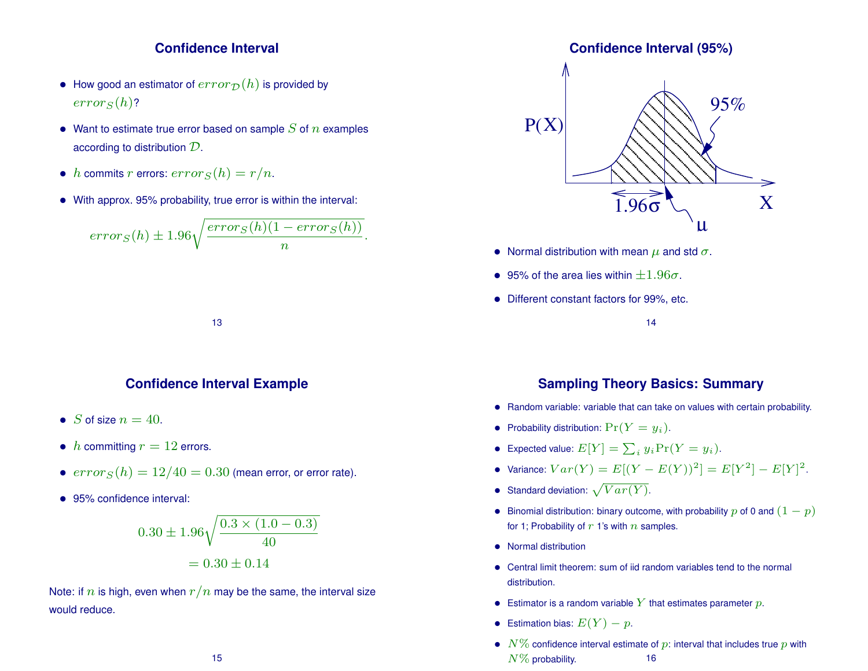#### **Confidence Interval**

- How good an estimator of  $error_{\mathcal{D}}(h)$  is provided by  $errors(h)$ ?
- Want to estimate true error based on sample  $S$  of  $n$  examples according to distribution D.
- h commits r errors:  $error_S(h) = r/n$ .
- With approx. 95% probability, true error is within the interval:

$$
error_S(h) \pm 1.96\sqrt{\frac{error_S(h)(1 - error_S(h))}{n}}.
$$

**Confidence Interval Example**

13

- S of size  $n = 40$ .
- h committing  $r = 12$  errors.
- $error_S(h) = 12/40 = 0.30$  (mean error, or error rate).
- 95% confidence interval:

$$
0.30 \pm 1.96 \sqrt{\frac{0.3 \times (1.0 - 0.3)}{40}}
$$

$$
= 0.30 \pm 0.14
$$

Note: if n is high, even when  $r/n$  may be the same, the interval size would reduce.

#### **Confidence Interval (95%)**



- Normal distribution with mean  $\mu$  and std  $\sigma$ .
- 95% of the area lies within  $\pm 1.96\sigma$ .
- Different constant factors for 99%, etc.

#### 14

### **Sampling Theory Basics: Summary**

- Random variable: variable that can take on values with certain probability.
- Probability distribution:  $Pr(Y = y_i)$ .
- Expected value:  $E[Y] = \sum_i y_i \Pr(Y = y_i)$ .
- Variance:  $Var(Y) = E[(Y E(Y))^2] = E[Y^2] E[Y]^2$ .
- Standard deviation:  $\sqrt{Var(Y)}$ .
- Binomial distribution: binary outcome, with probability p of 0 and  $(1 p)$ for 1; Probability of  $r$  1's with  $n$  samples.
- Normal distribution
- Central limit theorem: sum of iid random variables tend to the normal distribution.
- Estimator is a random variable Y that estimates parameter  $p$ .
- Estimation bias:  $E(Y) p$ .
- $N\%$  confidence interval estimate of p: interval that includes true p with  $N\%$  probability. 16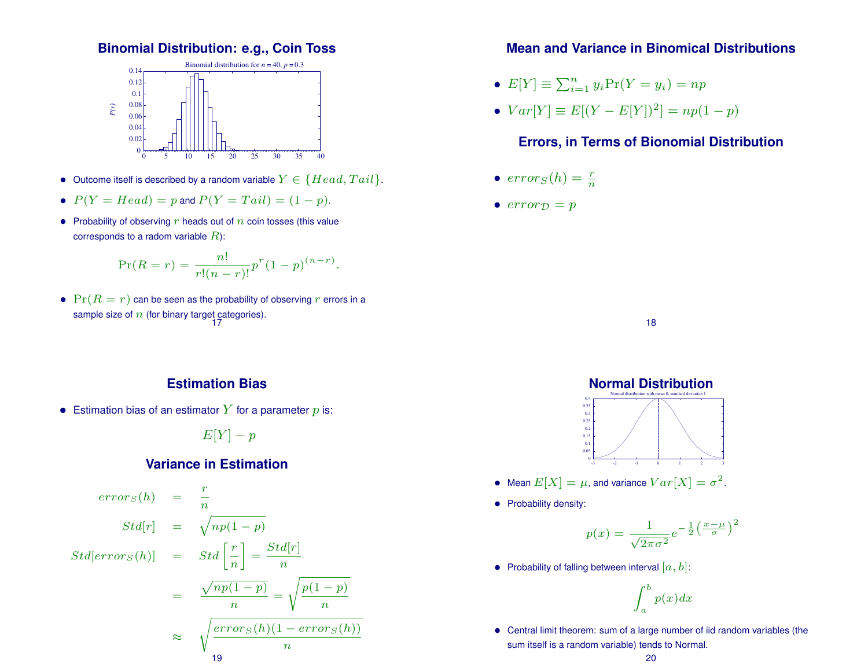#### **Binomial Distribution: e.g., Coin Toss**



- Outcome itself is described by a random variable  $Y \in \{Head, Tail\}$ .
- $P(Y = Head) = p$  and  $P(Y = Tail) = (1 p)$ .
- Probability of observing  $r$  heads out of  $n$  coin tosses (this value corresponds to a radom variable  $R$ ):

$$
\Pr(R = r) = \frac{n!}{r!(n-r)!}p^r(1-p)^{(n-r)}.
$$

•  $Pr(R = r)$  can be seen as the probability of observing r errors in a sample size of  $n$  (for binary target categories).

### **Estimation Bias**

• Estimation bias of an estimator Y for a parameter  $p$  is:

 $E[Y] - p$ 

#### **Variance in Estimation**

$$
error_S(h) = \frac{r}{n}
$$
  
\n
$$
Std[r] = \sqrt{np(1-p)}
$$
  
\n
$$
Std[error_S(h)] = Std\left[\frac{r}{n}\right] = \frac{Std[r]}{n}
$$
  
\n
$$
= \frac{\sqrt{np(1-p)}}{n} = \sqrt{\frac{p(1-p)}{n}}
$$
  
\n
$$
\approx \sqrt{\frac{error_S(h)(1 - error_S(h))}{n}}
$$

### **Mean and Variance in Binomical Distributions**

- $E[Y] \equiv \sum_{i=1}^{n} y_i Pr(Y = y_i) = np$
- $Var[Y] \equiv E[(Y E[Y])^2] = np(1 p)$

### **Errors, in Terms of Bionomial Distribution**

- $error_S(h) = \frac{r}{n}$
- $error_{\mathcal{D}} = p$

18



- Mean  $E[X] = \mu$ , and variance  $Var[X] = \sigma^2$ .
- Probability density:

$$
p(x) = \frac{1}{\sqrt{2\pi\sigma^2}} e^{-\frac{1}{2} \left(\frac{x-\mu}{\sigma}\right)^2}
$$

• Probability of falling between interval  $[a, b]$ :

$$
\int_{a}^{b} p(x)dx
$$

• Central limit theorem: sum of a large number of iid random variables (the sum itself is a random variable) tends to Normal.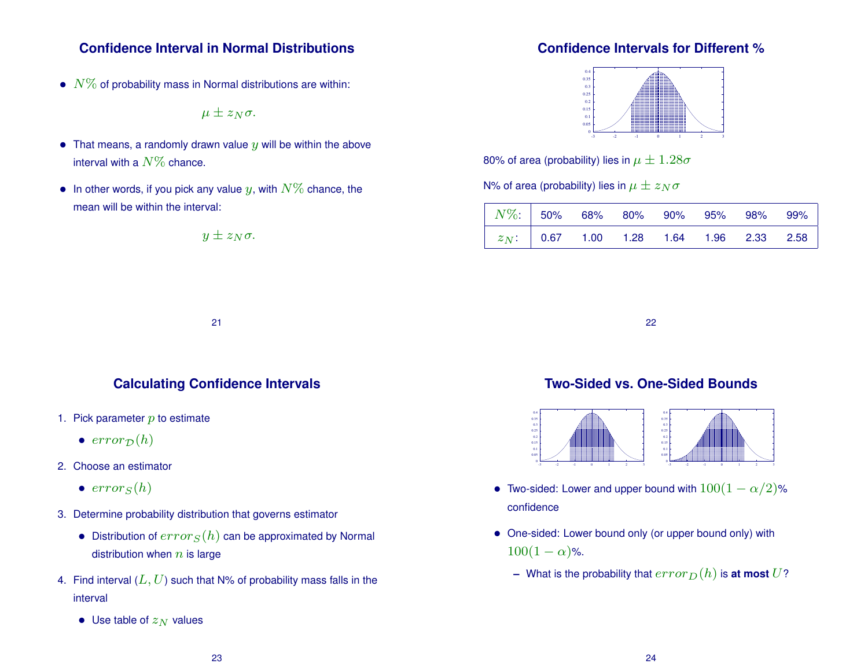### **Confidence Interval in Normal Distributions**

•  $N\%$  of probability mass in Normal distributions are within:

$$
\mu \pm z_N \sigma.
$$

- That means, a randomly drawn value  $y$  will be within the above interval with a  $N\%$  chance.
- In other words, if you pick any value y, with  $N\%$  chance, the mean will be within the interval:

$$
y \pm z_N \sigma.
$$

### **Confidence Intervals for Different %**



80% of area (probability) lies in  $\mu \pm 1.28\sigma$ 

N% of area (probability) lies in  $\mu \pm z_N \sigma$ 

| $\begin{array}{ c c c c c c } \hline &N\% & \hline &50\% & 68\% & 80\% & 90\% & 95\% & 98\% & 99\% \hline \ \end{array}$ |  |  |  |                                            |
|--------------------------------------------------------------------------------------------------------------------------|--|--|--|--------------------------------------------|
|                                                                                                                          |  |  |  | $z_N$ : 0.67 1.00 1.28 1.64 1.96 2.33 2.58 |

22

### **Calculating Confidence Intervals**

21

- 1. Pick parameter  $p$  to estimate
	- $error_{\mathcal{D}}(h)$
- 2. Choose an estimator
	- $error_S(h)$
- 3. Determine probability distribution that governs estimator
	- Distribution of  $error_S(h)$  can be approximated by Normal distribution when  $n$  is large
- 4. Find interval  $(L, U)$  such that N% of probability mass falls in the interval
	- Use table of  $z_N$  values

# **Two-Sided vs. One-Sided Bounds**



- Two-sided: Lower and upper bound with  $100(1 \alpha/2)$ % confidence
- One-sided: Lower bound only (or upper bound only) with  $100(1 - \alpha)$ %.
	- **–** What is the probability that  $error_D(h)$  is **at most** U?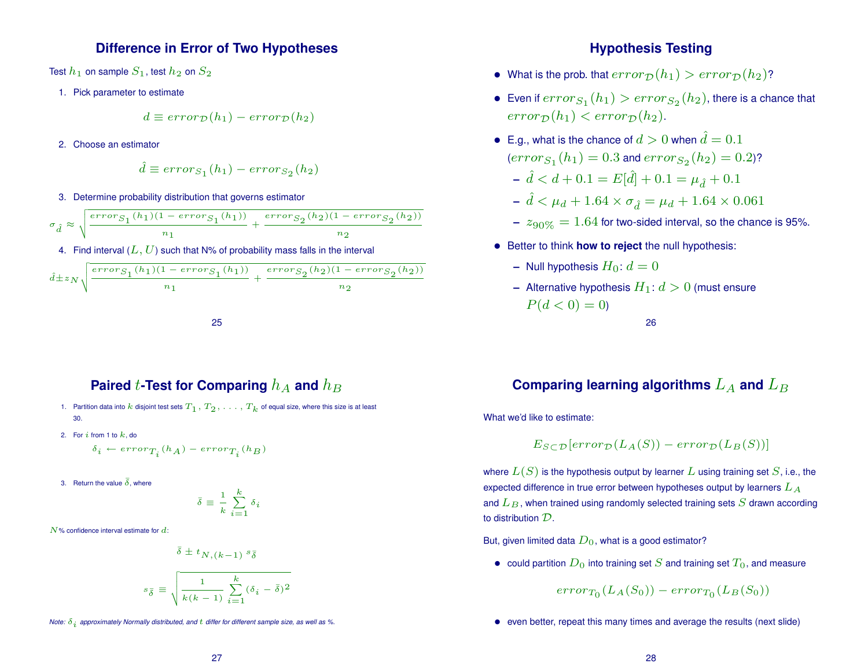#### **Difference in Error of Two Hypotheses**

Test  $h_1$  on sample  $S_1$ , test  $h_2$  on  $S_2$ 

1. Pick parameter to estimate

$$
d \equiv error_{\mathcal{D}}(h_1) - error_{\mathcal{D}}(h_2)
$$

2. Choose an estimator

$$
\hat{d} \equiv error_{S_1}(h_1) - error_{S_2}(h_2)
$$

3. Determine probability distribution that governs estimator

$$
\sigma_{\hat{d}} \approx \sqrt{\frac{error_{S_1}(h_1)(1 - error_{S_1}(h_1))}{n_1} + \frac{error_{S_2}(h_2)(1 - error_{S_2}(h_2))}{n_2}}
$$

4. Find interval  $(L, U)$  such that N% of probability mass falls in the interval

$$
\\ \hat{d}\pm z_N \sqrt{\frac{error_{S_1}(h_1)(1-error_{S_1}(h_1))}{n_1}} + \frac{error_{S_2}(h_2)(1-error_{S_2}(h_2))}{n_2}
$$



# **Paired** t-Test for Comparing  $h_A$  and  $h_B$

- 1. Partition data into k disjoint test sets  $T_1, T_2, \ldots, T_k$  of equal size, where this size is at least 30.
- 2. For i from 1 to  $k$ , do

$$
\delta_i \leftarrow error_{T_i}(h_A) - error_{T_i}(h_B)
$$

3. Return the value  $\bar{\delta}$ , where

$$
\bar{\delta} \equiv \frac{1}{k} \sum_{i=1}^{k} \delta_i
$$

 $N$ % confidence interval estimate for  $d$ :

$$
\bar{\delta} \pm t_{N,(k-1)} s_{\bar{\delta}}
$$

$$
s_{\bar{\delta}} \equiv \sqrt{\frac{1}{k(k-1)} \sum_{i=1}^{k} (\delta_i - \bar{\delta})^2}
$$

*Note:*  $\delta_i$  *approximately Normally distributed, and*  $t$  *differ for different sample size, as well as %.* 

#### **Hypothesis Testing**

- What is the prob. that  $error_D(h_1) > error_D(h_2)$ ?
- $\bullet \,\,$  Even if  $error_{S_1} (h_1) > error_{S_2} (h_2),$  there is a chance that  $error_{\mathcal{D}}(h_1) < error_{\mathcal{D}}(h_2)$ .
- E.g., what is the chance of  $d > 0$  when  $\hat{d} = 0.1$  $\left( error_{S_1}(h_1) = 0.3 \text{ and } error_{S_2}(h_2) = 0.2 \right)$ ?  $-\hat{d} < d + 0.1 = E[\hat{d}] + 0.1 = \mu_{\hat{d}} + 0.1$ 
	- $\hat{d} < \mu_d + 1.64 \times \sigma_{\hat{d}} = \mu_d + 1.64 \times 0.061$
	- $z_{.90\%} = 1.64$  for two-sided interval, so the chance is 95%.
- Better to think **how to reject** the null hypothesis:
	- **–** Null hypothesis  $H_0: d = 0$
	- **–** Alternative hypothesis  $H_1: d > 0$  (must ensure  $P(d < 0) = 0$

26

# Comparing learning algorithms  $L_A$  and  $L_B$

What we'd like to estimate:

$$
E_{S \subset \mathcal{D}}[error_{\mathcal{D}}(L_A(S)) - error_{\mathcal{D}}(L_B(S))]
$$

where  $L(S)$  is the hypothesis output by learner L using training set S, i.e., the expected difference in true error between hypotheses output by learners  $L_A$ and  $L_B$ , when trained using randomly selected training sets  $S$  drawn according to distribution D.

But, given limited data  $D_0$ , what is a good estimator?

• could partition  $D_0$  into training set S and training set  $T_0$ , and measure

 $error_{T_0}(L_A(S_0)) - error_{T_0}(L_B(S_0))$ 

• even better, repeat this many times and average the results (next slide)